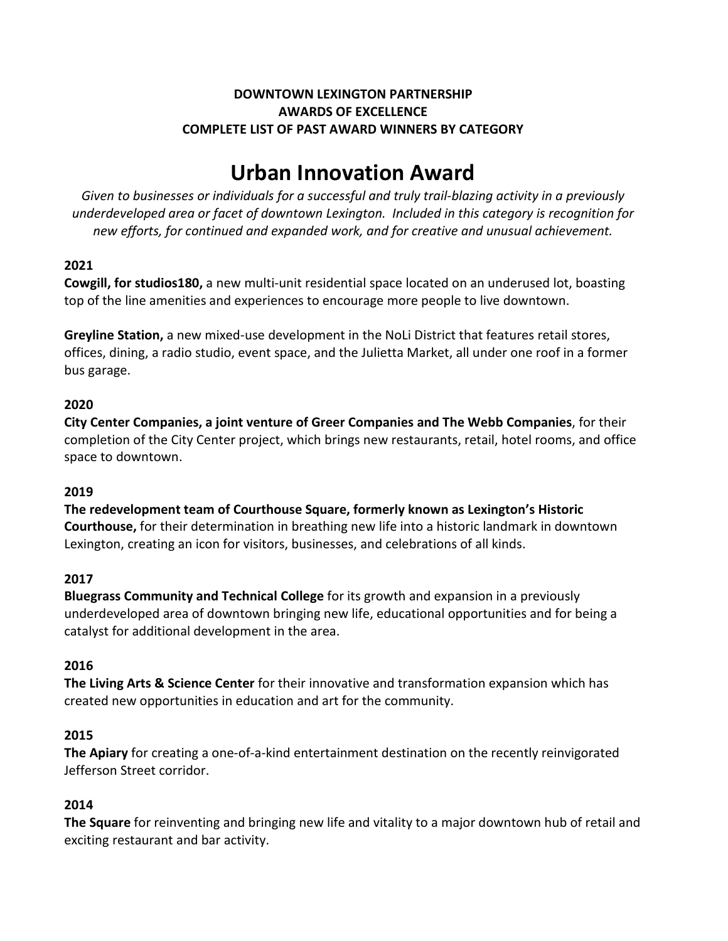## **DOWNTOWN LEXINGTON PARTNERSHIP AWARDS OF EXCELLENCE COMPLETE LIST OF PAST AWARD WINNERS BY CATEGORY**

# **Urban Innovation Award**

*Given to businesses or individuals for a successful and truly trail-blazing activity in a previously underdeveloped area or facet of downtown Lexington. Included in this category is recognition for new efforts, for continued and expanded work, and for creative and unusual achievement.*

# **2021**

**Cowgill, for studios180,** a new multi-unit residential space located on an underused lot, boasting top of the line amenities and experiences to encourage more people to live downtown.

**Greyline Station,** a new mixed-use development in the NoLi District that features retail stores, offices, dining, a radio studio, event space, and the Julietta Market, all under one roof in a former bus garage.

# **2020**

**City Center Companies, a joint venture of Greer Companies and The Webb Companies**, for their completion of the City Center project, which brings new restaurants, retail, hotel rooms, and office space to downtown.

## **2019**

**The redevelopment team of Courthouse Square, formerly known as Lexington's Historic Courthouse,** for their determination in breathing new life into a historic landmark in downtown Lexington, creating an icon for visitors, businesses, and celebrations of all kinds.

## **2017**

**Bluegrass Community and Technical College** for its growth and expansion in a previously underdeveloped area of downtown bringing new life, educational opportunities and for being a catalyst for additional development in the area.

# **2016**

**The Living Arts & Science Center** for their innovative and transformation expansion which has created new opportunities in education and art for the community.

## **2015**

**The Apiary** for creating a one-of-a-kind entertainment destination on the recently reinvigorated Jefferson Street corridor.

## **2014**

**The Square** for reinventing and bringing new life and vitality to a major downtown hub of retail and exciting restaurant and bar activity.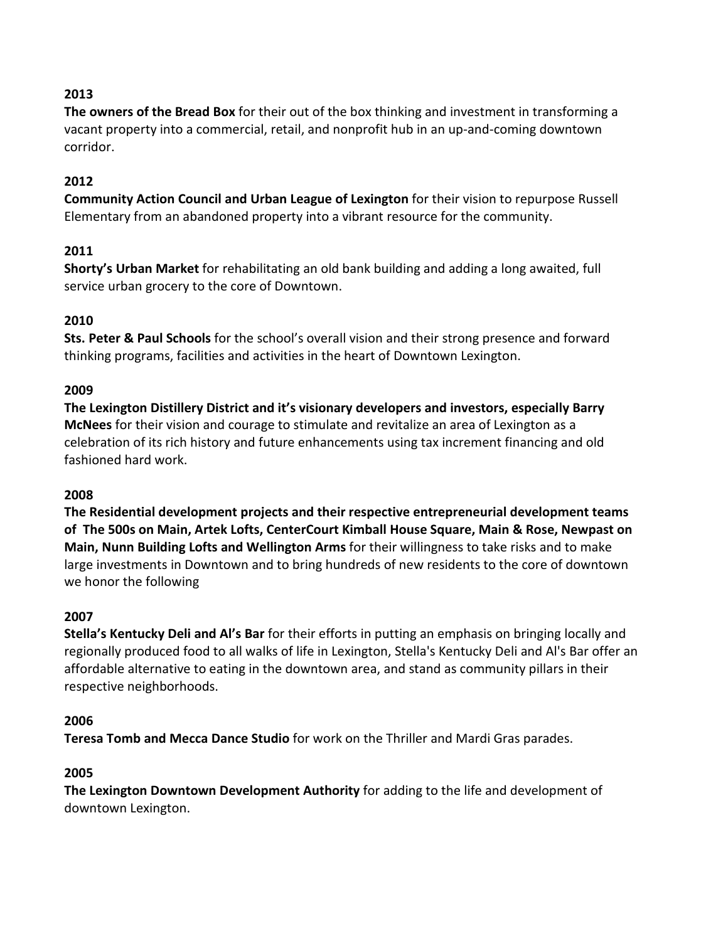**The owners of the Bread Box** for their out of the box thinking and investment in transforming a vacant property into a commercial, retail, and nonprofit hub in an up-and-coming downtown corridor.

#### **2012**

**Community Action Council and Urban League of Lexington** for their vision to repurpose Russell Elementary from an abandoned property into a vibrant resource for the community.

## **2011**

**Shorty's Urban Market** for rehabilitating an old bank building and adding a long awaited, full service urban grocery to the core of Downtown.

## **2010**

**Sts. Peter & Paul Schools** for the school's overall vision and their strong presence and forward thinking programs, facilities and activities in the heart of Downtown Lexington.

#### **2009**

**The Lexington Distillery District and it's visionary developers and investors, especially Barry McNees** for their vision and courage to stimulate and revitalize an area of Lexington as a celebration of its rich history and future enhancements using tax increment financing and old fashioned hard work.

#### **2008**

**The Residential development projects and their respective entrepreneurial development teams of The 500s on Main, Artek Lofts, CenterCourt Kimball House Square, Main & Rose, Newpast on Main, Nunn Building Lofts and Wellington Arms** for their willingness to take risks and to make large investments in Downtown and to bring hundreds of new residents to the core of downtown we honor the following

#### **2007**

**Stella's Kentucky Deli and Al's Bar** for their efforts in putting an emphasis on bringing locally and regionally produced food to all walks of life in Lexington, Stella's Kentucky Deli and Al's Bar offer an affordable alternative to eating in the downtown area, and stand as community pillars in their respective neighborhoods.

#### **2006**

**Teresa Tomb and Mecca Dance Studio** for work on the Thriller and Mardi Gras parades.

#### **2005**

**The Lexington Downtown Development Authority** for adding to the life and development of downtown Lexington.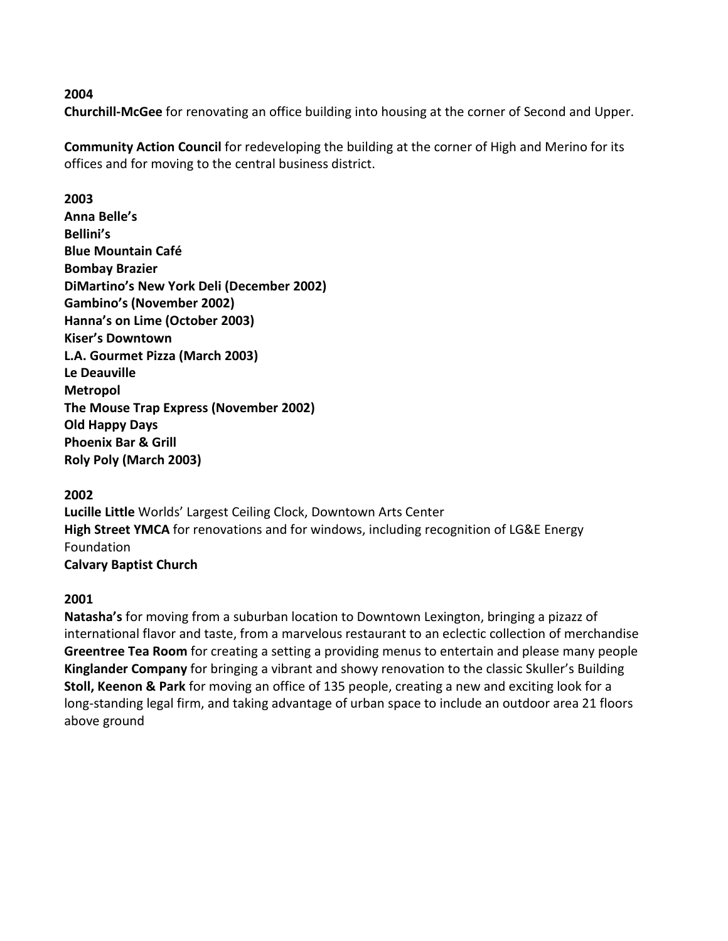**Churchill-McGee** for renovating an office building into housing at the corner of Second and Upper.

**Community Action Council** for redeveloping the building at the corner of High and Merino for its offices and for moving to the central business district.

## **2003**

**Anna Belle's Bellini's Blue Mountain Café Bombay Brazier DiMartino's New York Deli (December 2002) Gambino's (November 2002) Hanna's on Lime (October 2003) Kiser's Downtown L.A. Gourmet Pizza (March 2003) Le Deauville Metropol The Mouse Trap Express (November 2002) Old Happy Days Phoenix Bar & Grill Roly Poly (March 2003)**

## **2002**

**Lucille Little** Worlds' Largest Ceiling Clock, Downtown Arts Center **High Street YMCA** for renovations and for windows, including recognition of LG&E Energy Foundation **Calvary Baptist Church**

## **2001**

**Natasha's** for moving from a suburban location to Downtown Lexington, bringing a pizazz of international flavor and taste, from a marvelous restaurant to an eclectic collection of merchandise **Greentree Tea Room** for creating a setting a providing menus to entertain and please many people **Kinglander Company** for bringing a vibrant and showy renovation to the classic Skuller's Building **Stoll, Keenon & Park** for moving an office of 135 people, creating a new and exciting look for a long-standing legal firm, and taking advantage of urban space to include an outdoor area 21 floors above ground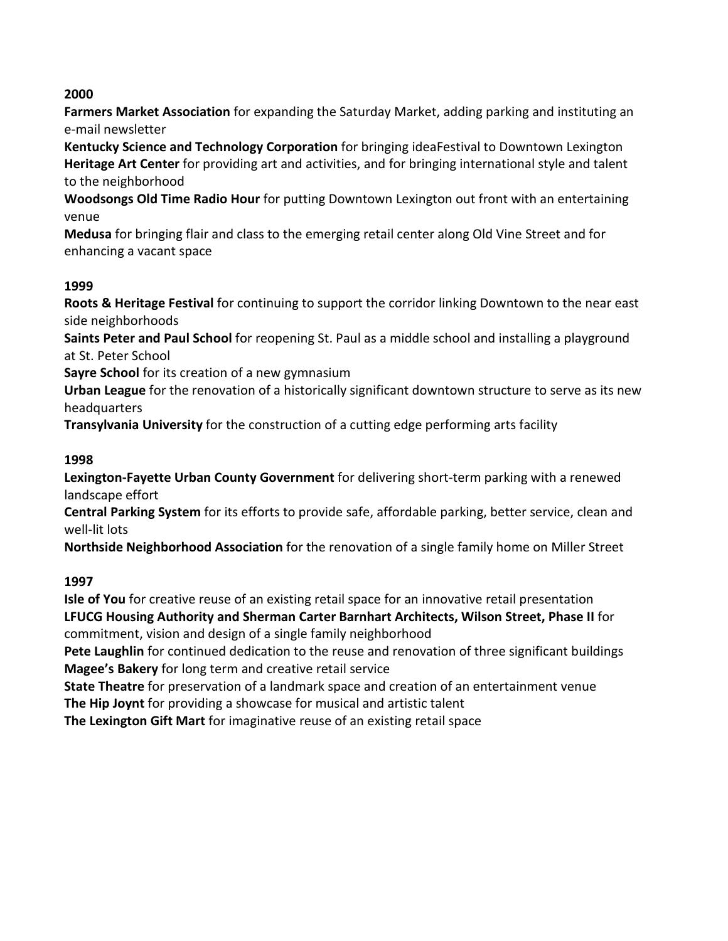**Farmers Market Association** for expanding the Saturday Market, adding parking and instituting an e-mail newsletter

**Kentucky Science and Technology Corporation** for bringing ideaFestival to Downtown Lexington **Heritage Art Center** for providing art and activities, and for bringing international style and talent to the neighborhood

**Woodsongs Old Time Radio Hour** for putting Downtown Lexington out front with an entertaining venue

**Medusa** for bringing flair and class to the emerging retail center along Old Vine Street and for enhancing a vacant space

# **1999**

**Roots & Heritage Festival** for continuing to support the corridor linking Downtown to the near east side neighborhoods

**Saints Peter and Paul School** for reopening St. Paul as a middle school and installing a playground at St. Peter School

**Sayre School** for its creation of a new gymnasium

**Urban League** for the renovation of a historically significant downtown structure to serve as its new headquarters

**Transylvania University** for the construction of a cutting edge performing arts facility

# **1998**

**Lexington-Fayette Urban County Government** for delivering short-term parking with a renewed landscape effort

**Central Parking System** for its efforts to provide safe, affordable parking, better service, clean and well-lit lots

**Northside Neighborhood Association** for the renovation of a single family home on Miller Street

## **1997**

**Isle of You** for creative reuse of an existing retail space for an innovative retail presentation **LFUCG Housing Authority and Sherman Carter Barnhart Architects, Wilson Street, Phase II** for commitment, vision and design of a single family neighborhood

**Pete Laughlin** for continued dedication to the reuse and renovation of three significant buildings **Magee's Bakery** for long term and creative retail service

**State Theatre** for preservation of a landmark space and creation of an entertainment venue **The Hip Joynt** for providing a showcase for musical and artistic talent

**The Lexington Gift Mart** for imaginative reuse of an existing retail space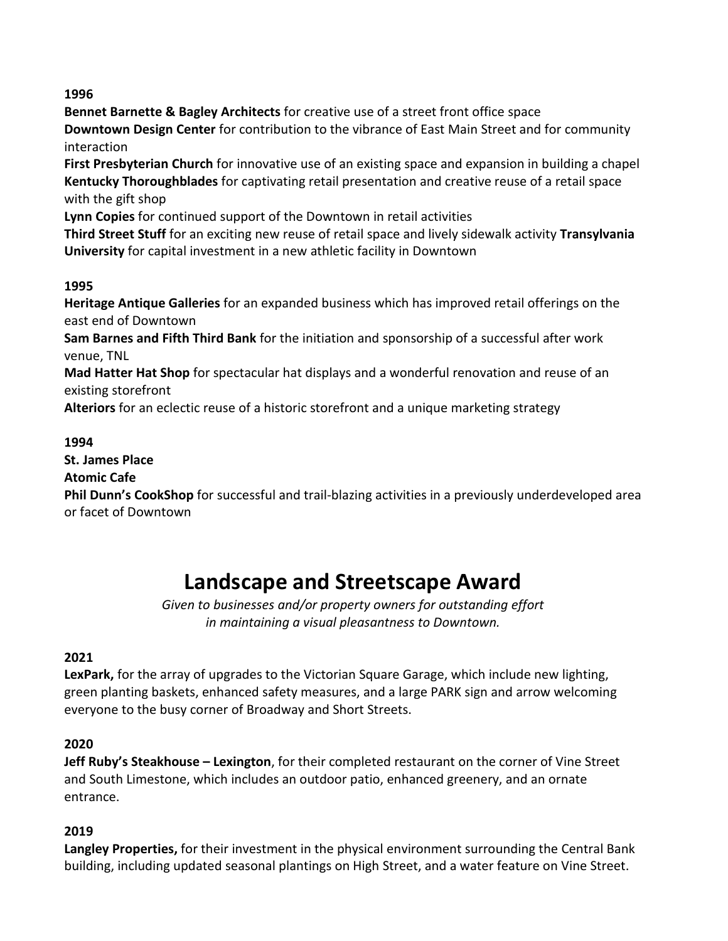**Bennet Barnette & Bagley Architects** for creative use of a street front office space **Downtown Design Center** for contribution to the vibrance of East Main Street and for community interaction

**First Presbyterian Church** for innovative use of an existing space and expansion in building a chapel **Kentucky Thoroughblades** for captivating retail presentation and creative reuse of a retail space with the gift shop

**Lynn Copies** for continued support of the Downtown in retail activities

**Third Street Stuff** for an exciting new reuse of retail space and lively sidewalk activity **Transylvania University** for capital investment in a new athletic facility in Downtown

# **1995**

**Heritage Antique Galleries** for an expanded business which has improved retail offerings on the east end of Downtown

**Sam Barnes and Fifth Third Bank** for the initiation and sponsorship of a successful after work venue, TNL

**Mad Hatter Hat Shop** for spectacular hat displays and a wonderful renovation and reuse of an existing storefront

**Alteriors** for an eclectic reuse of a historic storefront and a unique marketing strategy

# **1994**

**St. James Place**

## **Atomic Cafe**

**Phil Dunn's CookShop** for successful and trail-blazing activities in a previously underdeveloped area or facet of Downtown

# **Landscape and Streetscape Award**

*Given to businesses and/or property owners for outstanding effort in maintaining a visual pleasantness to Downtown.*

# **2021**

**LexPark,** for the array of upgrades to the Victorian Square Garage, which include new lighting, green planting baskets, enhanced safety measures, and a large PARK sign and arrow welcoming everyone to the busy corner of Broadway and Short Streets.

# **2020**

**Jeff Ruby's Steakhouse – Lexington**, for their completed restaurant on the corner of Vine Street and South Limestone, which includes an outdoor patio, enhanced greenery, and an ornate entrance.

## **2019**

**Langley Properties,** for their investment in the physical environment surrounding the Central Bank building, including updated seasonal plantings on High Street, and a water feature on Vine Street.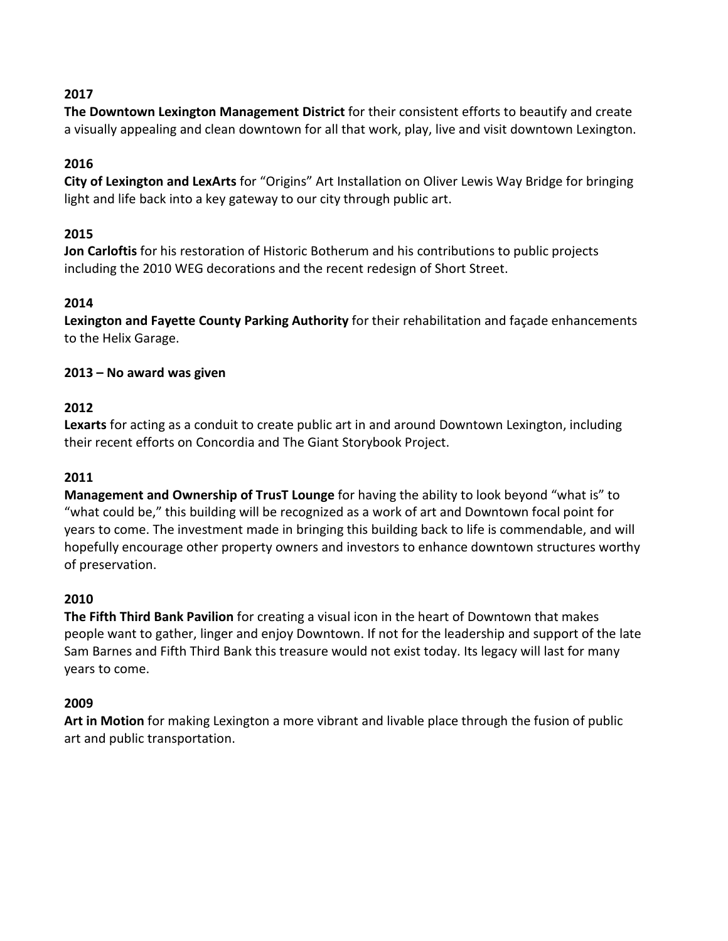**The Downtown Lexington Management District** for their consistent efforts to beautify and create a visually appealing and clean downtown for all that work, play, live and visit downtown Lexington.

# **2016**

**City of Lexington and LexArts** for "Origins" Art Installation on Oliver Lewis Way Bridge for bringing light and life back into a key gateway to our city through public art.

# **2015**

**Jon Carloftis** for his restoration of Historic Botherum and his contributions to public projects including the 2010 WEG decorations and the recent redesign of Short Street.

# **2014**

**Lexington and Fayette County Parking Authority** for their rehabilitation and façade enhancements to the Helix Garage.

# **2013 – No award was given**

# **2012**

**Lexarts** for acting as a conduit to create public art in and around Downtown Lexington, including their recent efforts on Concordia and The Giant Storybook Project.

## **2011**

**Management and Ownership of TrusT Lounge** for having the ability to look beyond "what is" to "what could be," this building will be recognized as a work of art and Downtown focal point for years to come. The investment made in bringing this building back to life is commendable, and will hopefully encourage other property owners and investors to enhance downtown structures worthy of preservation.

## **2010**

**The Fifth Third Bank Pavilion** for creating a visual icon in the heart of Downtown that makes people want to gather, linger and enjoy Downtown. If not for the leadership and support of the late Sam Barnes and Fifth Third Bank this treasure would not exist today. Its legacy will last for many years to come.

# **2009**

**Art in Motion** for making Lexington a more vibrant and livable place through the fusion of public art and public transportation.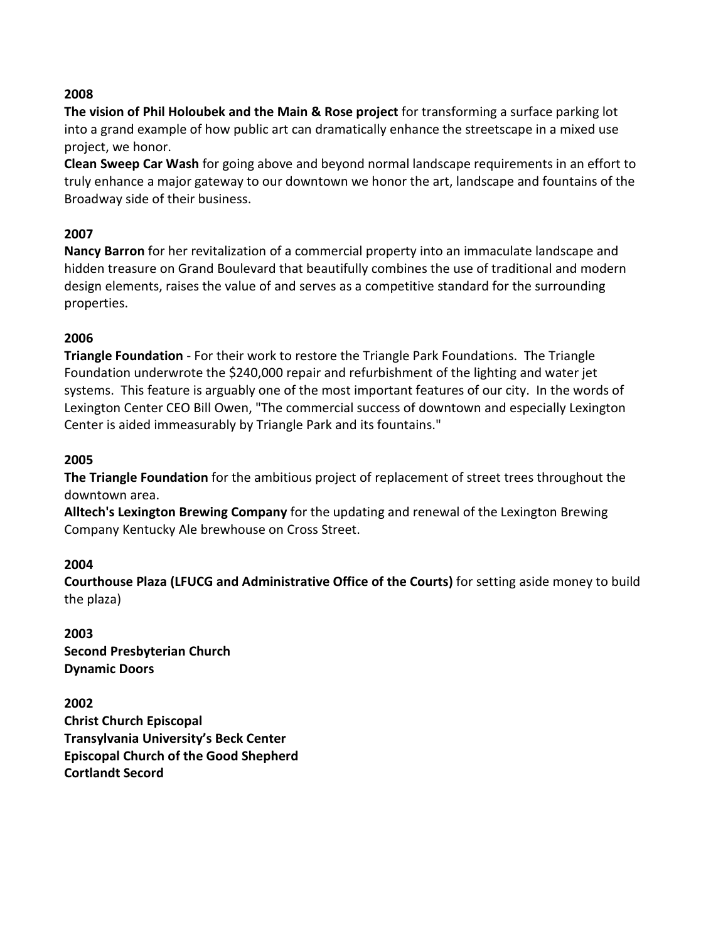**The vision of Phil Holoubek and the Main & Rose project** for transforming a surface parking lot into a grand example of how public art can dramatically enhance the streetscape in a mixed use project, we honor.

**Clean Sweep Car Wash** for going above and beyond normal landscape requirements in an effort to truly enhance a major gateway to our downtown we honor the art, landscape and fountains of the Broadway side of their business.

#### **2007**

**Nancy Barron** for her revitalization of a commercial property into an immaculate landscape and hidden treasure on Grand Boulevard that beautifully combines the use of traditional and modern design elements, raises the value of and serves as a competitive standard for the surrounding properties.

#### **2006**

**Triangle Foundation** - For their work to restore the Triangle Park Foundations. The Triangle Foundation underwrote the \$240,000 repair and refurbishment of the lighting and water jet systems. This feature is arguably one of the most important features of our city. In the words of Lexington Center CEO Bill Owen, "The commercial success of downtown and especially Lexington Center is aided immeasurably by Triangle Park and its fountains."

#### **2005**

**The Triangle Foundation** for the ambitious project of replacement of street trees throughout the downtown area.

**Alltech's Lexington Brewing Company** for the updating and renewal of the Lexington Brewing Company Kentucky Ale brewhouse on Cross Street.

#### **2004**

**Courthouse Plaza (LFUCG and Administrative Office of the Courts)** for setting aside money to build the plaza)

**2003 Second Presbyterian Church Dynamic Doors**

**2002 Christ Church Episcopal Transylvania University's Beck Center Episcopal Church of the Good Shepherd Cortlandt Secord**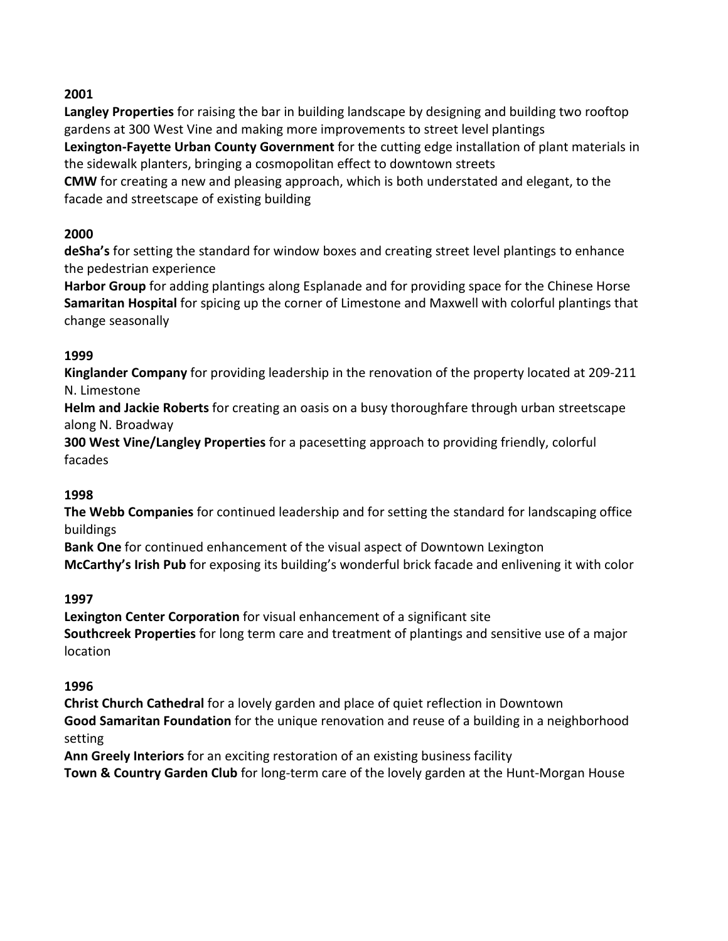**Langley Properties** for raising the bar in building landscape by designing and building two rooftop gardens at 300 West Vine and making more improvements to street level plantings

**Lexington-Fayette Urban County Government** for the cutting edge installation of plant materials in the sidewalk planters, bringing a cosmopolitan effect to downtown streets

**CMW** for creating a new and pleasing approach, which is both understated and elegant, to the facade and streetscape of existing building

# **2000**

**deSha's** for setting the standard for window boxes and creating street level plantings to enhance the pedestrian experience

**Harbor Group** for adding plantings along Esplanade and for providing space for the Chinese Horse **Samaritan Hospital** for spicing up the corner of Limestone and Maxwell with colorful plantings that change seasonally

# **1999**

**Kinglander Company** for providing leadership in the renovation of the property located at 209-211 N. Limestone

**Helm and Jackie Roberts** for creating an oasis on a busy thoroughfare through urban streetscape along N. Broadway

**300 West Vine/Langley Properties** for a pacesetting approach to providing friendly, colorful facades

# **1998**

**The Webb Companies** for continued leadership and for setting the standard for landscaping office buildings

**Bank One** for continued enhancement of the visual aspect of Downtown Lexington **McCarthy's Irish Pub** for exposing its building's wonderful brick facade and enlivening it with color

# **1997**

**Lexington Center Corporation** for visual enhancement of a significant site **Southcreek Properties** for long term care and treatment of plantings and sensitive use of a major location

# **1996**

**Christ Church Cathedral** for a lovely garden and place of quiet reflection in Downtown **Good Samaritan Foundation** for the unique renovation and reuse of a building in a neighborhood setting

**Ann Greely Interiors** for an exciting restoration of an existing business facility

**Town & Country Garden Club** for long-term care of the lovely garden at the Hunt-Morgan House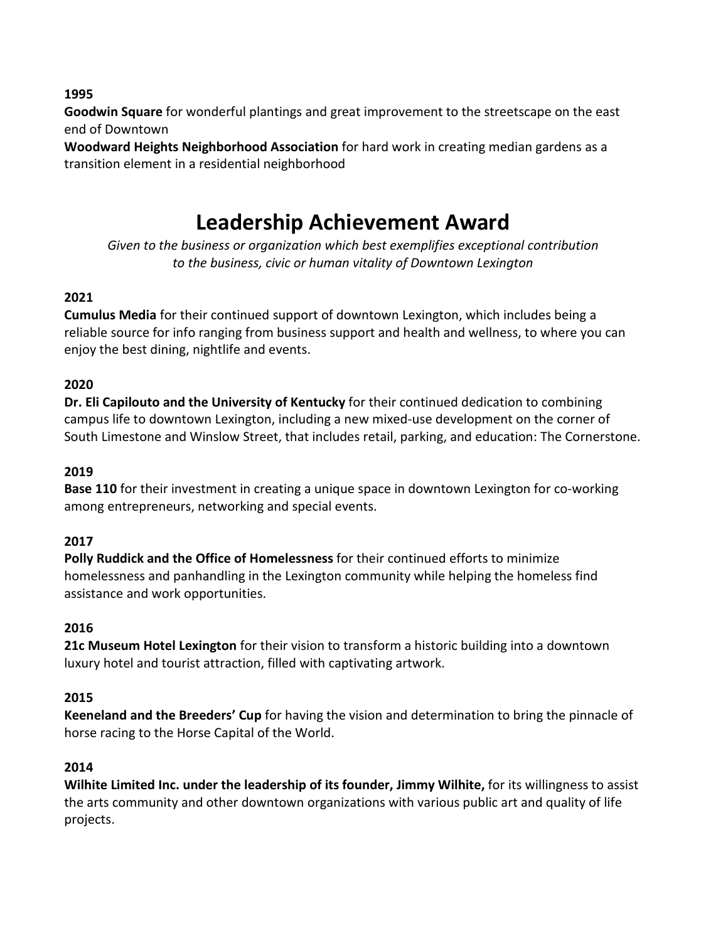**Goodwin Square** for wonderful plantings and great improvement to the streetscape on the east end of Downtown

**Woodward Heights Neighborhood Association** for hard work in creating median gardens as a transition element in a residential neighborhood

# **Leadership Achievement Award**

*Given to the business or organization which best exemplifies exceptional contribution to the business, civic or human vitality of Downtown Lexington*

# **2021**

**Cumulus Media** for their continued support of downtown Lexington, which includes being a reliable source for info ranging from business support and health and wellness, to where you can enjoy the best dining, nightlife and events.

# **2020**

**Dr. Eli Capilouto and the University of Kentucky** for their continued dedication to combining campus life to downtown Lexington, including a new mixed-use development on the corner of South Limestone and Winslow Street, that includes retail, parking, and education: The Cornerstone.

## **2019**

**Base 110** for their investment in creating a unique space in downtown Lexington for co-working among entrepreneurs, networking and special events.

## **2017**

**Polly Ruddick and the Office of Homelessness** for their continued efforts to minimize homelessness and panhandling in the Lexington community while helping the homeless find assistance and work opportunities.

## **2016**

**21c Museum Hotel Lexington** for their vision to transform a historic building into a downtown luxury hotel and tourist attraction, filled with captivating artwork.

## **2015**

**Keeneland and the Breeders' Cup** for having the vision and determination to bring the pinnacle of horse racing to the Horse Capital of the World.

## **2014**

**Wilhite Limited Inc. under the leadership of its founder, Jimmy Wilhite,** for its willingness to assist the arts community and other downtown organizations with various public art and quality of life projects.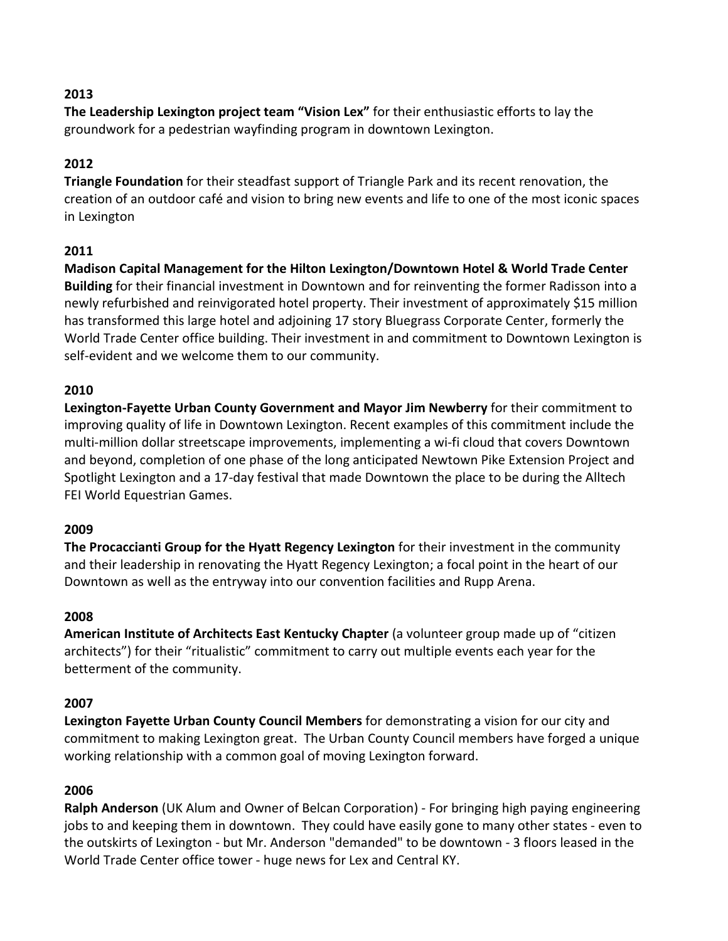**The Leadership Lexington project team "Vision Lex"** for their enthusiastic efforts to lay the groundwork for a pedestrian wayfinding program in downtown Lexington.

# **2012**

**Triangle Foundation** for their steadfast support of Triangle Park and its recent renovation, the creation of an outdoor café and vision to bring new events and life to one of the most iconic spaces in Lexington

# **2011**

**Madison Capital Management for the Hilton Lexington/Downtown Hotel & World Trade Center Building** for their financial investment in Downtown and for reinventing the former Radisson into a newly refurbished and reinvigorated hotel property. Their investment of approximately \$15 million has transformed this large hotel and adjoining 17 story Bluegrass Corporate Center, formerly the World Trade Center office building. Their investment in and commitment to Downtown Lexington is self-evident and we welcome them to our community.

# **2010**

**Lexington-Fayette Urban County Government and Mayor Jim Newberry** for their commitment to improving quality of life in Downtown Lexington. Recent examples of this commitment include the multi-million dollar streetscape improvements, implementing a wi-fi cloud that covers Downtown and beyond, completion of one phase of the long anticipated Newtown Pike Extension Project and Spotlight Lexington and a 17-day festival that made Downtown the place to be during the Alltech FEI World Equestrian Games.

## **2009**

**The Procaccianti Group for the Hyatt Regency Lexington** for their investment in the community and their leadership in renovating the Hyatt Regency Lexington; a focal point in the heart of our Downtown as well as the entryway into our convention facilities and Rupp Arena.

## **2008**

**American Institute of Architects East Kentucky Chapter** (a volunteer group made up of "citizen architects") for their "ritualistic" commitment to carry out multiple events each year for the betterment of the community.

## **2007**

**Lexington Fayette Urban County Council Members** for demonstrating a vision for our city and commitment to making Lexington great. The Urban County Council members have forged a unique working relationship with a common goal of moving Lexington forward.

## **2006**

**Ralph Anderson** (UK Alum and Owner of Belcan Corporation) - For bringing high paying engineering jobs to and keeping them in downtown. They could have easily gone to many other states - even to the outskirts of Lexington - but Mr. Anderson "demanded" to be downtown - 3 floors leased in the World Trade Center office tower - huge news for Lex and Central KY.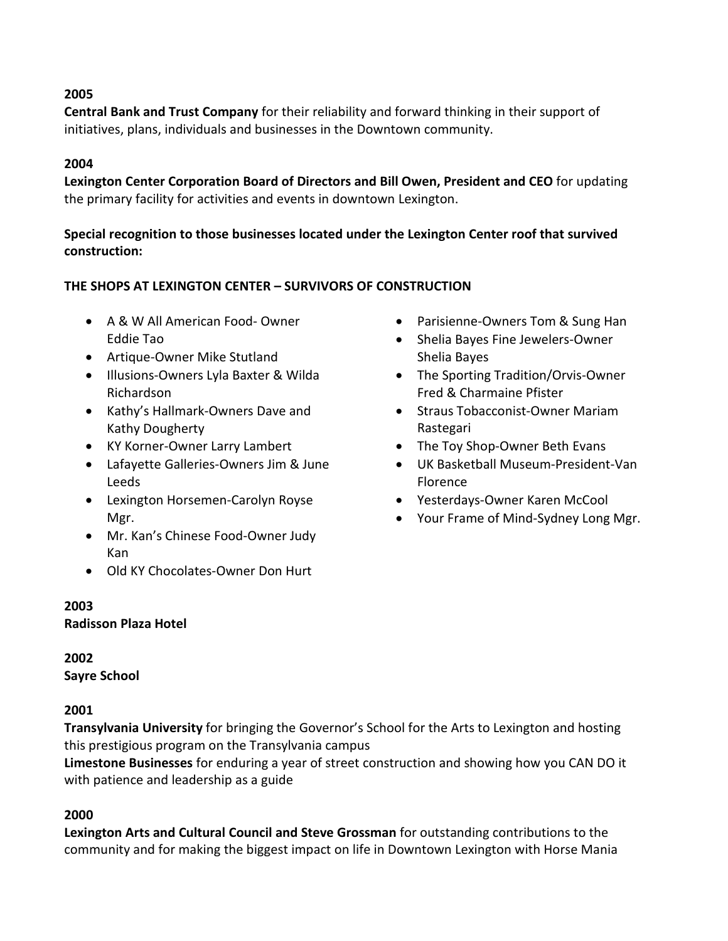**Central Bank and Trust Company** for their reliability and forward thinking in their support of initiatives, plans, individuals and businesses in the Downtown community.

#### **2004**

**Lexington Center Corporation Board of Directors and Bill Owen, President and CEO** for updating the primary facility for activities and events in downtown Lexington.

# **Special recognition to those businesses located under the Lexington Center roof that survived construction:**

#### **THE SHOPS AT LEXINGTON CENTER – SURVIVORS OF CONSTRUCTION**

- A & W All American Food- Owner Eddie Tao
- Artique-Owner Mike Stutland
- Illusions-Owners Lyla Baxter & Wilda Richardson
- Kathy's Hallmark-Owners Dave and Kathy Dougherty
- KY Korner-Owner Larry Lambert
- Lafayette Galleries-Owners Jim & June Leeds
- Lexington Horsemen-Carolyn Royse Mgr.
- Mr. Kan's Chinese Food-Owner Judy Kan
- Old KY Chocolates-Owner Don Hurt

#### **2003**

**Radisson Plaza Hotel**

## **2002**

**Sayre School**

## **2001**

**Transylvania University** for bringing the Governor's School for the Arts to Lexington and hosting this prestigious program on the Transylvania campus

**Limestone Businesses** for enduring a year of street construction and showing how you CAN DO it with patience and leadership as a guide

## **2000**

**Lexington Arts and Cultural Council and Steve Grossman** for outstanding contributions to the community and for making the biggest impact on life in Downtown Lexington with Horse Mania

- Parisienne-Owners Tom & Sung Han
- Shelia Bayes Fine Jewelers-Owner Shelia Bayes
- The Sporting Tradition/Orvis-Owner Fred & Charmaine Pfister
- Straus Tobacconist-Owner Mariam Rastegari
- The Toy Shop-Owner Beth Evans
- UK Basketball Museum-President-Van Florence
- Yesterdays-Owner Karen McCool
- Your Frame of Mind-Sydney Long Mgr.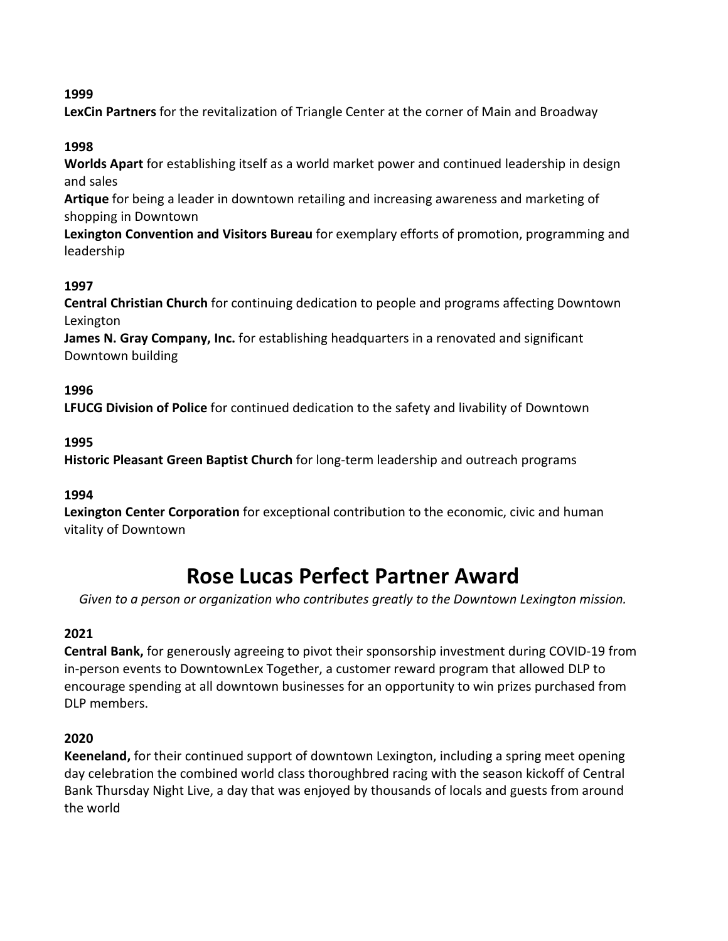**LexCin Partners** for the revitalization of Triangle Center at the corner of Main and Broadway

# **1998**

**Worlds Apart** for establishing itself as a world market power and continued leadership in design and sales

**Artique** for being a leader in downtown retailing and increasing awareness and marketing of shopping in Downtown

**Lexington Convention and Visitors Bureau** for exemplary efforts of promotion, programming and leadership

# **1997**

**Central Christian Church** for continuing dedication to people and programs affecting Downtown Lexington

**James N. Gray Company, Inc.** for establishing headquarters in a renovated and significant Downtown building

# **1996**

**LFUCG Division of Police** for continued dedication to the safety and livability of Downtown

## **1995**

**Historic Pleasant Green Baptist Church** for long-term leadership and outreach programs

## **1994**

**Lexington Center Corporation** for exceptional contribution to the economic, civic and human vitality of Downtown

# **Rose Lucas Perfect Partner Award**

*Given to a person or organization who contributes greatly to the Downtown Lexington mission.*

## **2021**

**Central Bank,** for generously agreeing to pivot their sponsorship investment during COVID-19 from in-person events to DowntownLex Together, a customer reward program that allowed DLP to encourage spending at all downtown businesses for an opportunity to win prizes purchased from DLP members.

## **2020**

**Keeneland,** for their continued support of downtown Lexington, including a spring meet opening day celebration the combined world class thoroughbred racing with the season kickoff of Central Bank Thursday Night Live, a day that was enjoyed by thousands of locals and guests from around the world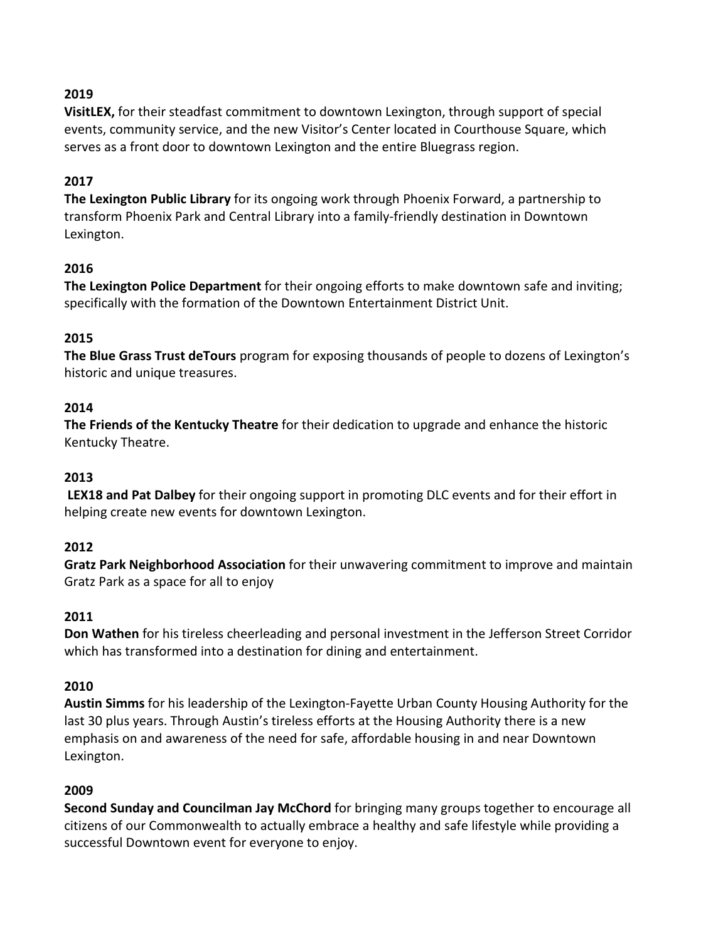**VisitLEX,** for their steadfast commitment to downtown Lexington, through support of special events, community service, and the new Visitor's Center located in Courthouse Square, which serves as a front door to downtown Lexington and the entire Bluegrass region.

#### **2017**

**The Lexington Public Library** for its ongoing work through Phoenix Forward, a partnership to transform Phoenix Park and Central Library into a family-friendly destination in Downtown Lexington.

#### **2016**

**The Lexington Police Department** for their ongoing efforts to make downtown safe and inviting; specifically with the formation of the Downtown Entertainment District Unit.

#### **2015**

**The Blue Grass Trust deTours** program for exposing thousands of people to dozens of Lexington's historic and unique treasures.

#### **2014**

**The Friends of the Kentucky Theatre** for their dedication to upgrade and enhance the historic Kentucky Theatre.

#### **2013**

**LEX18 and Pat Dalbey** for their ongoing support in promoting DLC events and for their effort in helping create new events for downtown Lexington.

## **2012**

**Gratz Park Neighborhood Association** for their unwavering commitment to improve and maintain Gratz Park as a space for all to enjoy

#### **2011**

**Don Wathen** for his tireless cheerleading and personal investment in the Jefferson Street Corridor which has transformed into a destination for dining and entertainment.

#### **2010**

**Austin Simms** for his leadership of the Lexington-Fayette Urban County Housing Authority for the last 30 plus years. Through Austin's tireless efforts at the Housing Authority there is a new emphasis on and awareness of the need for safe, affordable housing in and near Downtown Lexington.

## **2009**

**Second Sunday and Councilman Jay McChord** for bringing many groups together to encourage all citizens of our Commonwealth to actually embrace a healthy and safe lifestyle while providing a successful Downtown event for everyone to enjoy.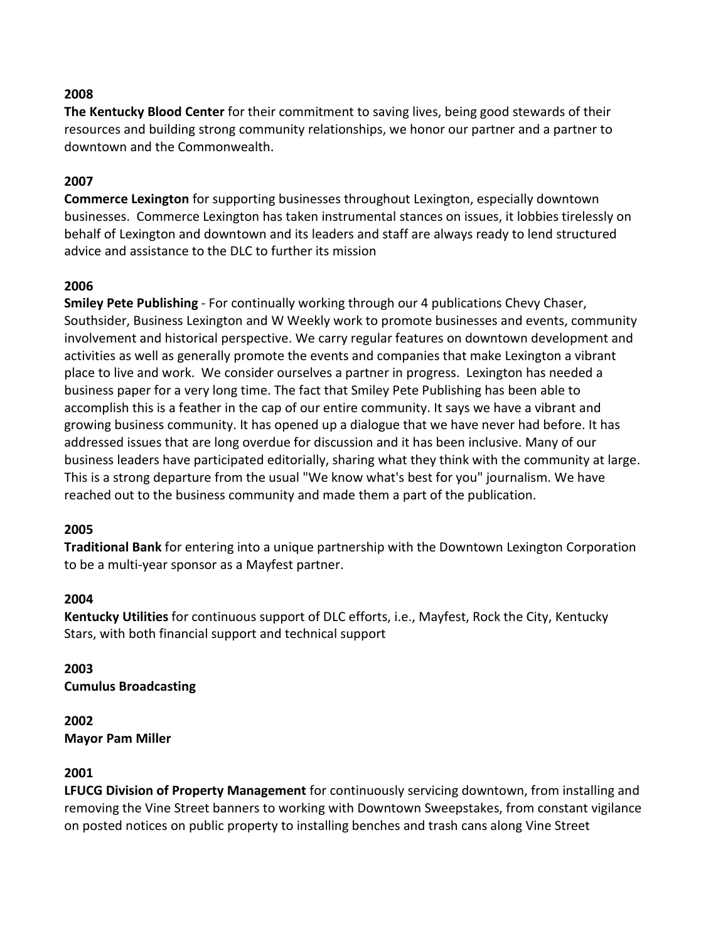**The Kentucky Blood Center** for their commitment to saving lives, being good stewards of their resources and building strong community relationships, we honor our partner and a partner to downtown and the Commonwealth.

#### **2007**

**Commerce Lexington** for supporting businesses throughout Lexington, especially downtown businesses. Commerce Lexington has taken instrumental stances on issues, it lobbies tirelessly on behalf of Lexington and downtown and its leaders and staff are always ready to lend structured advice and assistance to the DLC to further its mission

#### **2006**

**Smiley Pete Publishing** - For continually working through our 4 publications Chevy Chaser, Southsider, Business Lexington and W Weekly work to promote businesses and events, community involvement and historical perspective. We carry regular features on downtown development and activities as well as generally promote the events and companies that make Lexington a vibrant place to live and work. We consider ourselves a partner in progress. Lexington has needed a business paper for a very long time. The fact that Smiley Pete Publishing has been able to accomplish this is a feather in the cap of our entire community. It says we have a vibrant and growing business community. It has opened up a dialogue that we have never had before. It has addressed issues that are long overdue for discussion and it has been inclusive. Many of our business leaders have participated editorially, sharing what they think with the community at large. This is a strong departure from the usual "We know what's best for you" journalism. We have reached out to the business community and made them a part of the publication.

#### **2005**

**Traditional Bank** for entering into a unique partnership with the Downtown Lexington Corporation to be a multi-year sponsor as a Mayfest partner.

#### **2004**

**Kentucky Utilities** for continuous support of DLC efforts, i.e., Mayfest, Rock the City, Kentucky Stars, with both financial support and technical support

#### **2003 Cumulus Broadcasting**

**2002 Mayor Pam Miller**

#### **2001**

**LFUCG Division of Property Management** for continuously servicing downtown, from installing and removing the Vine Street banners to working with Downtown Sweepstakes, from constant vigilance on posted notices on public property to installing benches and trash cans along Vine Street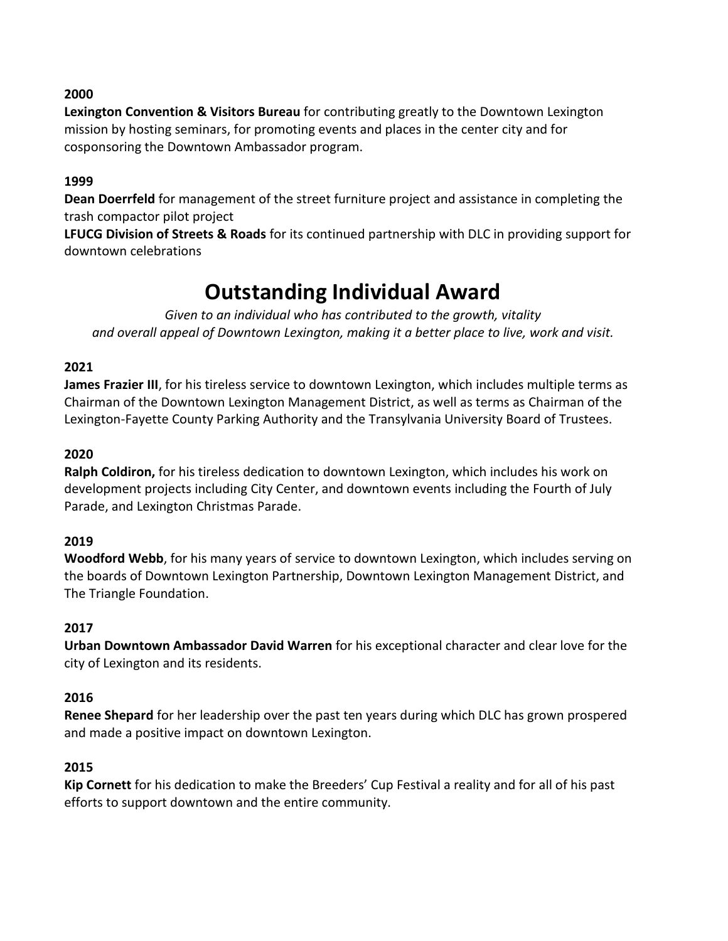**Lexington Convention & Visitors Bureau** for contributing greatly to the Downtown Lexington mission by hosting seminars, for promoting events and places in the center city and for cosponsoring the Downtown Ambassador program.

#### **1999**

**Dean Doerrfeld** for management of the street furniture project and assistance in completing the trash compactor pilot project

**LFUCG Division of Streets & Roads** for its continued partnership with DLC in providing support for downtown celebrations

# **Outstanding Individual Award**

*Given to an individual who has contributed to the growth, vitality and overall appeal of Downtown Lexington, making it a better place to live, work and visit.*

#### **2021**

**James Frazier III**, for his tireless service to downtown Lexington, which includes multiple terms as Chairman of the Downtown Lexington Management District, as well as terms as Chairman of the Lexington-Fayette County Parking Authority and the Transylvania University Board of Trustees.

#### **2020**

**Ralph Coldiron,** for his tireless dedication to downtown Lexington, which includes his work on development projects including City Center, and downtown events including the Fourth of July Parade, and Lexington Christmas Parade.

#### **2019**

**Woodford Webb**, for his many years of service to downtown Lexington, which includes serving on the boards of Downtown Lexington Partnership, Downtown Lexington Management District, and The Triangle Foundation.

## **2017**

**Urban Downtown Ambassador David Warren** for his exceptional character and clear love for the city of Lexington and its residents.

#### **2016**

**Renee Shepard** for her leadership over the past ten years during which DLC has grown prospered and made a positive impact on downtown Lexington.

## **2015**

**Kip Cornett** for his dedication to make the Breeders' Cup Festival a reality and for all of his past efforts to support downtown and the entire community.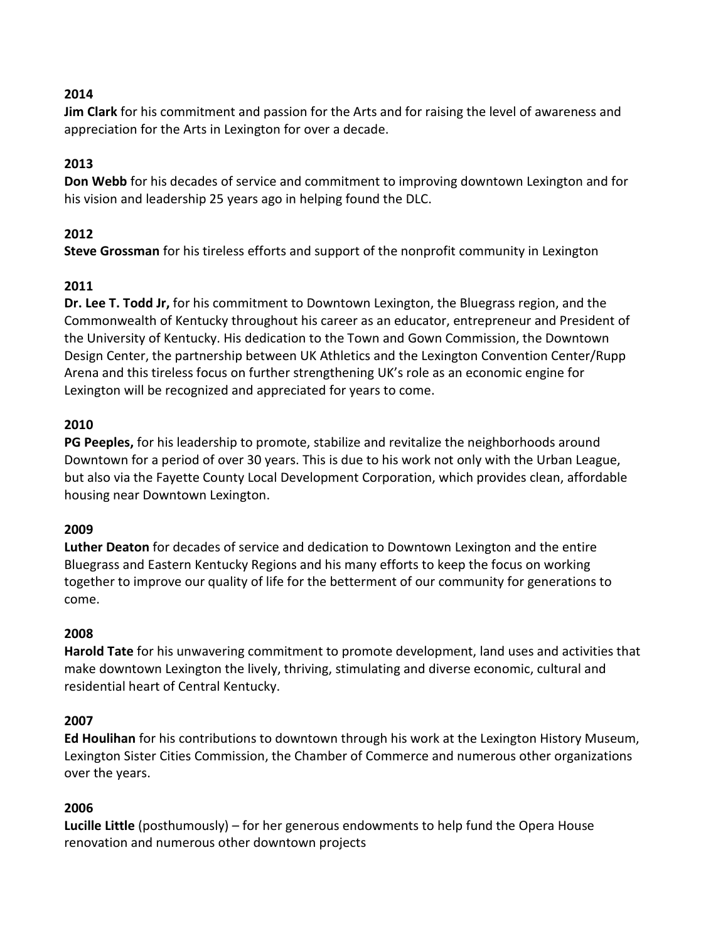**Jim Clark** for his commitment and passion for the Arts and for raising the level of awareness and appreciation for the Arts in Lexington for over a decade.

# **2013**

**Don Webb** for his decades of service and commitment to improving downtown Lexington and for his vision and leadership 25 years ago in helping found the DLC.

# **2012**

**Steve Grossman** for his tireless efforts and support of the nonprofit community in Lexington

# **2011**

**Dr. Lee T. Todd Jr,** for his commitment to Downtown Lexington, the Bluegrass region, and the Commonwealth of Kentucky throughout his career as an educator, entrepreneur and President of the University of Kentucky. His dedication to the Town and Gown Commission, the Downtown Design Center, the partnership between UK Athletics and the Lexington Convention Center/Rupp Arena and this tireless focus on further strengthening UK's role as an economic engine for Lexington will be recognized and appreciated for years to come.

# **2010**

**PG Peeples,** for his leadership to promote, stabilize and revitalize the neighborhoods around Downtown for a period of over 30 years. This is due to his work not only with the Urban League, but also via the Fayette County Local Development Corporation, which provides clean, affordable housing near Downtown Lexington.

## **2009**

**Luther Deaton** for decades of service and dedication to Downtown Lexington and the entire Bluegrass and Eastern Kentucky Regions and his many efforts to keep the focus on working together to improve our quality of life for the betterment of our community for generations to come.

## **2008**

**Harold Tate** for his unwavering commitment to promote development, land uses and activities that make downtown Lexington the lively, thriving, stimulating and diverse economic, cultural and residential heart of Central Kentucky.

## **2007**

**Ed Houlihan** for his contributions to downtown through his work at the Lexington History Museum, Lexington Sister Cities Commission, the Chamber of Commerce and numerous other organizations over the years.

## **2006**

**Lucille Little** (posthumously) – for her generous endowments to help fund the Opera House renovation and numerous other downtown projects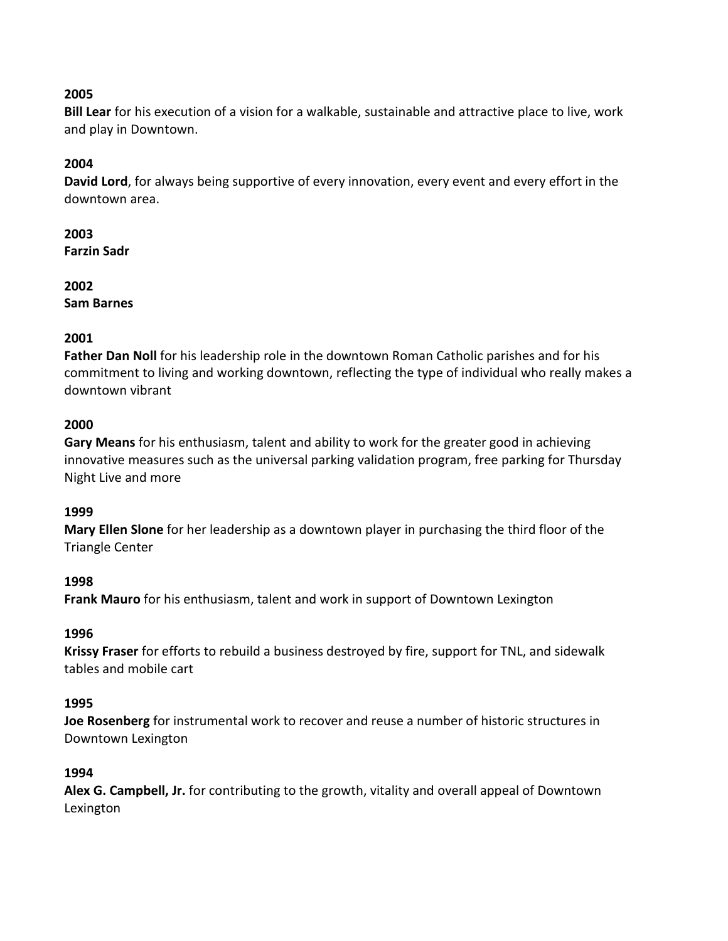**Bill Lear** for his execution of a vision for a walkable, sustainable and attractive place to live, work and play in Downtown.

## **2004**

**David Lord**, for always being supportive of every innovation, every event and every effort in the downtown area.

#### **2003**

**Farzin Sadr**

#### **2002**

**Sam Barnes**

## **2001**

**Father Dan Noll** for his leadership role in the downtown Roman Catholic parishes and for his commitment to living and working downtown, reflecting the type of individual who really makes a downtown vibrant

## **2000**

**Gary Means** for his enthusiasm, talent and ability to work for the greater good in achieving innovative measures such as the universal parking validation program, free parking for Thursday Night Live and more

## **1999**

**Mary Ellen Slone** for her leadership as a downtown player in purchasing the third floor of the Triangle Center

## **1998**

**Frank Mauro** for his enthusiasm, talent and work in support of Downtown Lexington

## **1996**

**Krissy Fraser** for efforts to rebuild a business destroyed by fire, support for TNL, and sidewalk tables and mobile cart

## **1995**

**Joe Rosenberg** for instrumental work to recover and reuse a number of historic structures in Downtown Lexington

## **1994**

**Alex G. Campbell, Jr.** for contributing to the growth, vitality and overall appeal of Downtown Lexington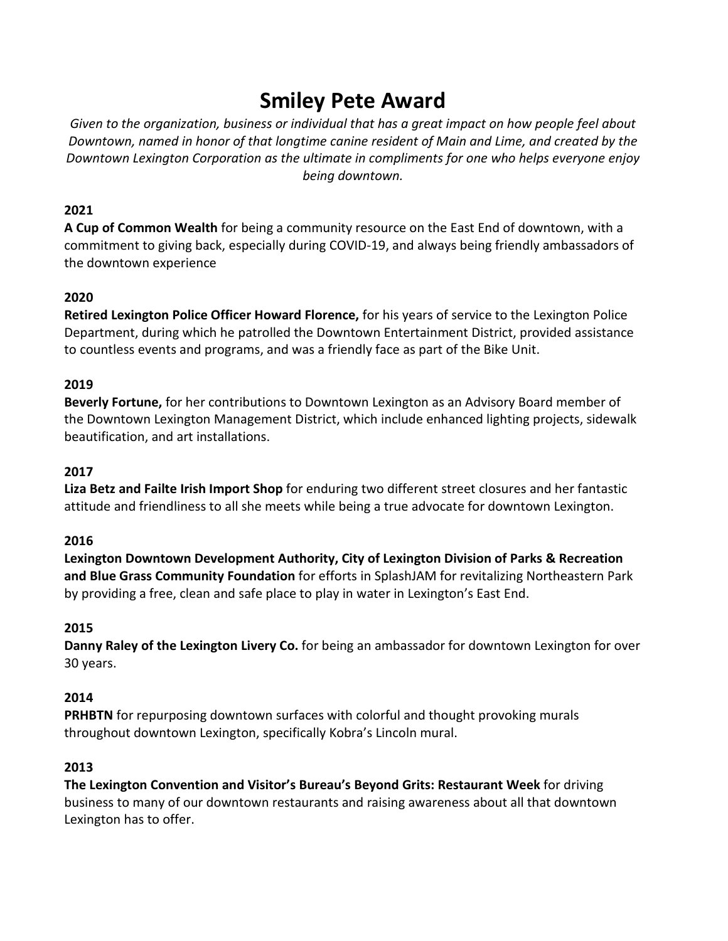# **Smiley Pete Award**

*Given to the organization, business or individual that has a great impact on how people feel about Downtown, named in honor of that longtime canine resident of Main and Lime, and created by the Downtown Lexington Corporation as the ultimate in compliments for one who helps everyone enjoy being downtown.*

## **2021**

**A Cup of Common Wealth** for being a community resource on the East End of downtown, with a commitment to giving back, especially during COVID-19, and always being friendly ambassadors of the downtown experience

# **2020**

**Retired Lexington Police Officer Howard Florence,** for his years of service to the Lexington Police Department, during which he patrolled the Downtown Entertainment District, provided assistance to countless events and programs, and was a friendly face as part of the Bike Unit.

## **2019**

**Beverly Fortune,** for her contributions to Downtown Lexington as an Advisory Board member of the Downtown Lexington Management District, which include enhanced lighting projects, sidewalk beautification, and art installations.

## **2017**

**Liza Betz and Failte Irish Import Shop** for enduring two different street closures and her fantastic attitude and friendliness to all she meets while being a true advocate for downtown Lexington.

## **2016**

**Lexington Downtown Development Authority, City of Lexington Division of Parks & Recreation and Blue Grass Community Foundation** for efforts in SplashJAM for revitalizing Northeastern Park by providing a free, clean and safe place to play in water in Lexington's East End.

## **2015**

**Danny Raley of the Lexington Livery Co.** for being an ambassador for downtown Lexington for over 30 years.

## **2014**

**PRHBTN** for repurposing downtown surfaces with colorful and thought provoking murals throughout downtown Lexington, specifically Kobra's Lincoln mural.

## **2013**

**The Lexington Convention and Visitor's Bureau's Beyond Grits: Restaurant Week** for driving business to many of our downtown restaurants and raising awareness about all that downtown Lexington has to offer.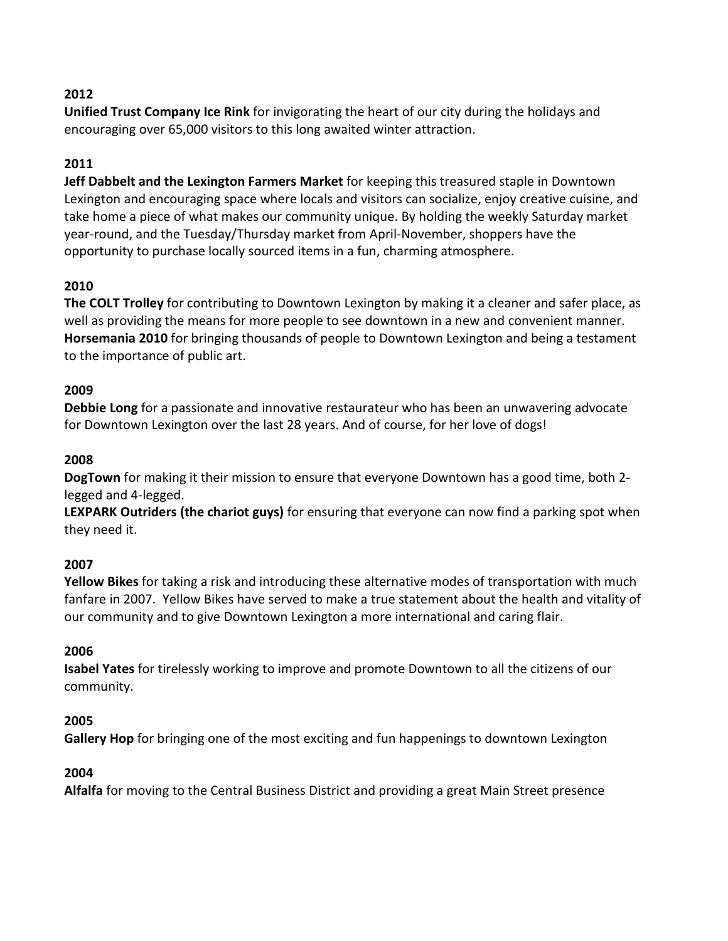**Unified Trust Company Ice Rink** for invigorating the heart of our city during the holidays and encouraging over 65,000 visitors to this long awaited winter attraction.

# **2011**

**Jeff Dabbelt and the Lexington Farmers Market** for keeping this treasured staple in Downtown Lexington and encouraging space where locals and visitors can socialize, enjoy creative cuisine, and take home a piece of what makes our community unique. By holding the weekly Saturday market year-round, and the Tuesday/Thursday market from April-November, shoppers have the opportunity to purchase locally sourced items in a fun, charming atmosphere.

# **2010**

**The COLT Trolley** for contributing to Downtown Lexington by making it a cleaner and safer place, as well as providing the means for more people to see downtown in a new and convenient manner. **Horsemania 2010** for bringing thousands of people to Downtown Lexington and being a testament to the importance of public art.

# **2009**

**Debbie Long** for a passionate and innovative restaurateur who has been an unwavering advocate for Downtown Lexington over the last 28 years. And of course, for her love of dogs!

#### **2008**

**DogTown** for making it their mission to ensure that everyone Downtown has a good time, both 2 legged and 4-legged.

**LEXPARK Outriders (the chariot guys)** for ensuring that everyone can now find a parking spot when they need it.

## **2007**

**Yellow Bikes** for taking a risk and introducing these alternative modes of transportation with much fanfare in 2007. Yellow Bikes have served to make a true statement about the health and vitality of our community and to give Downtown Lexington a more international and caring flair.

#### **2006**

**Isabel Yates** for tirelessly working to improve and promote Downtown to all the citizens of our community.

## **2005**

**Gallery Hop** for bringing one of the most exciting and fun happenings to downtown Lexington

## **2004**

**Alfalfa** for moving to the Central Business District and providing a great Main Street presence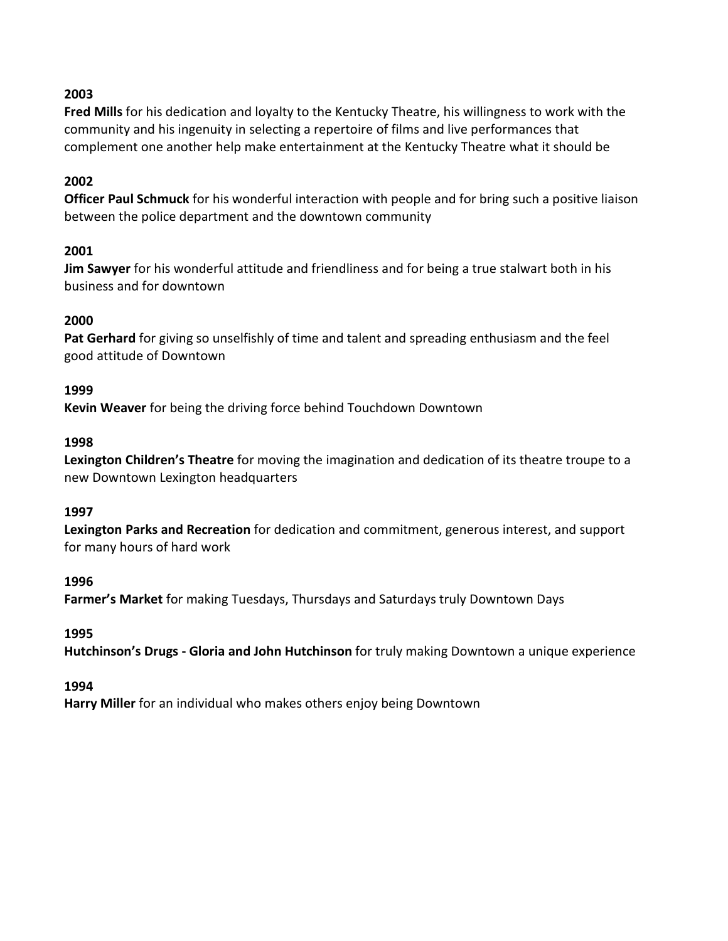**Fred Mills** for his dedication and loyalty to the Kentucky Theatre, his willingness to work with the community and his ingenuity in selecting a repertoire of films and live performances that complement one another help make entertainment at the Kentucky Theatre what it should be

#### **2002**

**Officer Paul Schmuck** for his wonderful interaction with people and for bring such a positive liaison between the police department and the downtown community

#### **2001**

**Jim Sawyer** for his wonderful attitude and friendliness and for being a true stalwart both in his business and for downtown

#### **2000**

**Pat Gerhard** for giving so unselfishly of time and talent and spreading enthusiasm and the feel good attitude of Downtown

#### **1999**

**Kevin Weaver** for being the driving force behind Touchdown Downtown

#### **1998**

**Lexington Children's Theatre** for moving the imagination and dedication of its theatre troupe to a new Downtown Lexington headquarters

#### **1997**

**Lexington Parks and Recreation** for dedication and commitment, generous interest, and support for many hours of hard work

#### **1996**

**Farmer's Market** for making Tuesdays, Thursdays and Saturdays truly Downtown Days

#### **1995**

**Hutchinson's Drugs - Gloria and John Hutchinson** for truly making Downtown a unique experience

#### **1994**

**Harry Miller** for an individual who makes others enjoy being Downtown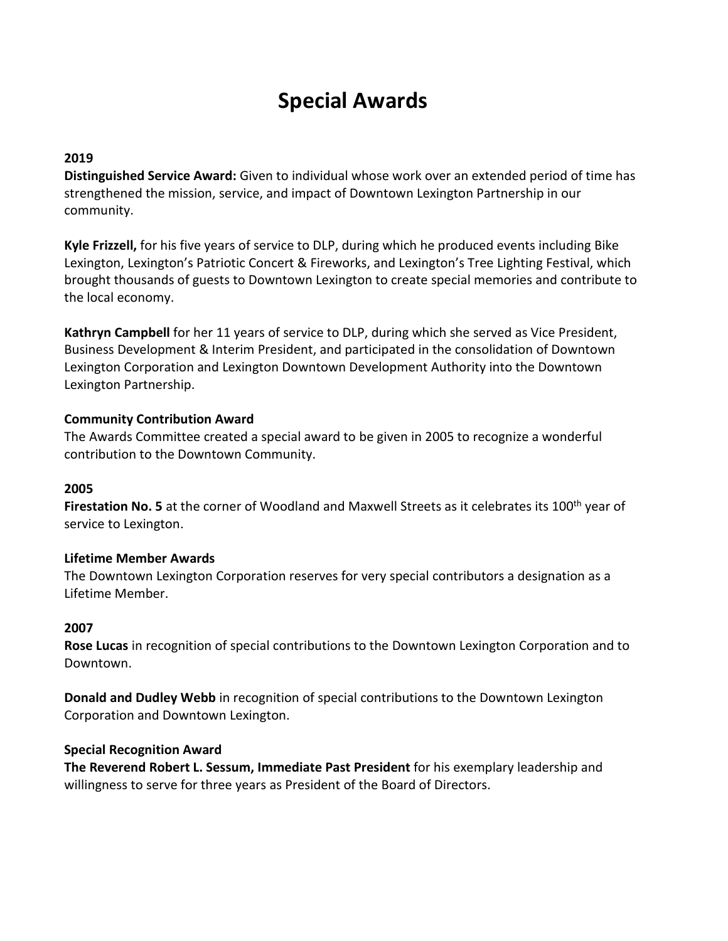# **Special Awards**

# **2019**

**Distinguished Service Award:** Given to individual whose work over an extended period of time has strengthened the mission, service, and impact of Downtown Lexington Partnership in our community.

**Kyle Frizzell,** for his five years of service to DLP, during which he produced events including Bike Lexington, Lexington's Patriotic Concert & Fireworks, and Lexington's Tree Lighting Festival, which brought thousands of guests to Downtown Lexington to create special memories and contribute to the local economy.

**Kathryn Campbell** for her 11 years of service to DLP, during which she served as Vice President, Business Development & Interim President, and participated in the consolidation of Downtown Lexington Corporation and Lexington Downtown Development Authority into the Downtown Lexington Partnership.

#### **Community Contribution Award**

The Awards Committee created a special award to be given in 2005 to recognize a wonderful contribution to the Downtown Community.

## **2005**

Firestation No. 5 at the corner of Woodland and Maxwell Streets as it celebrates its 100<sup>th</sup> year of service to Lexington.

## **Lifetime Member Awards**

The Downtown Lexington Corporation reserves for very special contributors a designation as a Lifetime Member.

## **2007**

**Rose Lucas** in recognition of special contributions to the Downtown Lexington Corporation and to Downtown.

**Donald and Dudley Webb** in recognition of special contributions to the Downtown Lexington Corporation and Downtown Lexington.

#### **Special Recognition Award**

**The Reverend Robert L. Sessum, Immediate Past President** for his exemplary leadership and willingness to serve for three years as President of the Board of Directors.